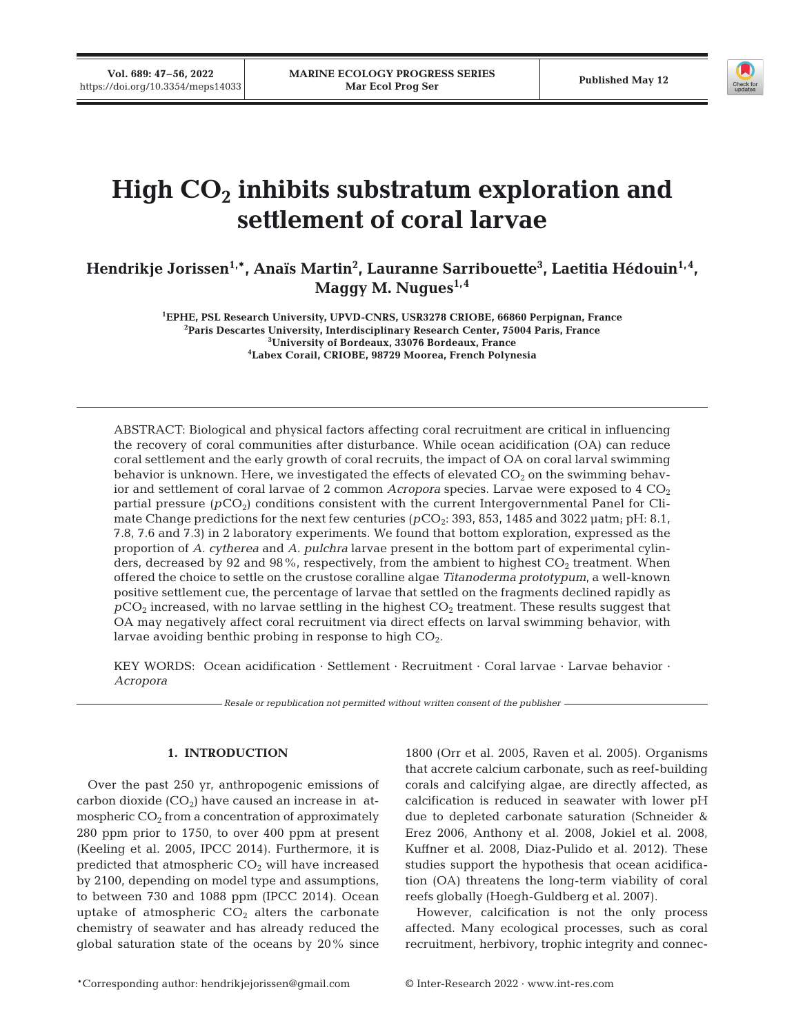**Vol. 689: 47–56, 2022** 



# High  $CO<sub>2</sub>$  inhibits substratum exploration and **settlement of coral larvae**

Hendrikje Jorissen<sup>1,</sup>\*, Anaïs Martin<sup>2</sup>, Lauranne Sarribouette<sup>3</sup>, Laetitia Hédouin<sup>1,4</sup>, Maggy M. Nugues<sup>1,4</sup>

> **1 EPHE, PSL Research University, UPVD-CNRS, USR3278 CRIOBE, 66860 Perpignan, France 2** <sup>2</sup> Paris Descartes University, Interdisciplinary Research Center, 75004 Paris, France **University of Bordeaux, 33076 Bordeaux, France 4 Labex Corail, CRIOBE, 98729 Moorea, French Polynesia**

ABSTRACT: Biological and physical factors affecting coral recruitment are critical in influencing the recovery of coral communities after disturbance. While ocean acidification (OA) can reduce coral settlement and the early growth of coral recruits, the impact of OA on coral larval swimming behavior is unknown. Here, we investigated the effects of elevated  $CO<sub>2</sub>$  on the swimming behavior and settlement of coral larvae of 2 common *Acropora* species. Larvae were exposed to  $4 \text{ CO}_2$ partial pressure ( $pCO<sub>2</sub>$ ) conditions consistent with the current Intergovernmental Panel for Climate Change predictions for the next few centuries (*p*CO<sub>2</sub>: 393, 853, 1485 and 3022 μatm; pH: 8.1, 7.8, 7.6 and 7.3) in 2 laboratory experiments. We found that bottom exploration, expressed as the proportion of *A. cytherea* and *A. pulchra* larvae present in the bottom part of experimental cylinders, decreased by 92 and 98%, respectively, from the ambient to highest  $CO<sub>2</sub>$  treatment. When offered the choice to settle on the crustose coralline algae *Titanoderma prototypum*, a well-known positive settlement cue, the percentage of larvae that settled on the fragments declined rapidly as *pCO<sub>2</sub>* increased, with no larvae settling in the highest CO<sub>2</sub> treatment. These results suggest that OA may negatively affect coral recruitment via direct effects on larval swimming behavior, with larvae avoiding benthic probing in response to high  $CO<sub>2</sub>$ .

KEY WORDS: Ocean acidification  $\cdot$  Settlement  $\cdot$  Recruitment  $\cdot$  Coral larvae  $\cdot$  Larvae behavior  $\cdot$ *Acropora*

*Resale or republication not permitted without written consent of the publisher*

# **1. INTRODUCTION**

Over the past 250 yr, anthropogenic emissions of carbon dioxide  $(CO_2)$  have caused an increase in atmospheric  $CO<sub>2</sub>$  from a concentration of approximately 280 ppm prior to 1750, to over 400 ppm at present (Keeling et al. 2005, IPCC 2014). Furthermore, it is predicted that atmospheric  $CO<sub>2</sub>$  will have increased by 2100, depending on model type and assumptions, to between 730 and 1088 ppm (IPCC 2014). Ocean uptake of atmospheric  $CO<sub>2</sub>$  alters the carbonate chemistry of seawater and has already reduced the global saturation state of the oceans by 20% since 1800 (Orr et al. 2005, Raven et al. 2005). Organisms that accrete calcium carbonate, such as reef-building corals and calcifying algae, are directly affected, as calcification is reduced in seawater with lower pH due to depleted carbonate saturation (Schneider & Erez 2006, Anthony et al. 2008, Jokiel et al. 2008, Kuffner et al. 2008, Diaz-Pulido et al. 2012). These studies support the hypothesis that ocean acidification (OA) threatens the long-term viability of coral reefs globally (Hoegh-Guldberg et al. 2007).

However, calcification is not the only process affected. Many ecological processes, such as coral recruitment, herbivory, trophic integrity and connec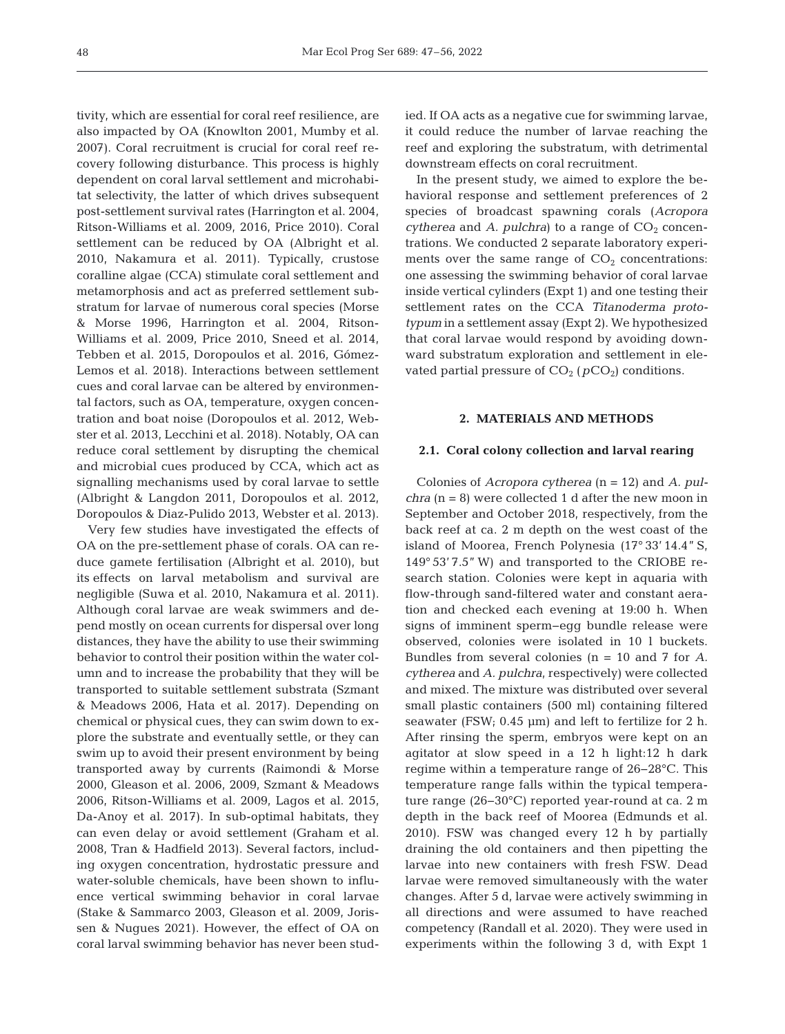tivity, which are essential for coral reef resilience, are also impacted by OA (Knowlton 2001, Mumby et al. 2007). Coral recruitment is crucial for coral reef recovery following disturbance. This process is highly dependent on coral larval settlement and microhabitat selectivity, the latter of which drives subsequent post-settlement survival rates (Harrington et al. 2004, Ritson-Williams et al. 2009, 2016, Price 2010). Coral settlement can be reduced by OA (Albright et al. 2010, Nakamura et al. 2011). Typically, crustose coralline algae (CCA) stimulate coral settlement and metamorphosis and act as preferred settlement substratum for larvae of numerous coral species (Morse & Morse 1996, Harrington et al. 2004, Ritson-Williams et al. 2009, Price 2010, Sneed et al. 2014, Tebben et al. 2015, Doropoulos et al. 2016, Gómez-Lemos et al. 2018). Interactions between settlement cues and coral larvae can be altered by environmental factors, such as OA, temperature, oxygen concentration and boat noise (Doropoulos et al. 2012, Webster et al. 2013, Lecchini et al. 2018). Notably, OA can reduce coral settlement by disrupting the chemical and microbial cues produced by CCA, which act as signalling mechanisms used by coral larvae to settle (Albright & Langdon 2011, Doropoulos et al. 2012, Doropoulos & Diaz-Pulido 2013, Webster et al. 2013).

Very few studies have investigated the effects of OA on the pre-settlement phase of corals. OA can reduce gamete fertilisation (Albright et al. 2010), but its effects on larval metabolism and survival are negligible (Suwa et al. 2010, Nakamura et al. 2011). Although coral larvae are weak swimmers and depend mostly on ocean currents for dispersal over long distances, they have the ability to use their swimming behavior to control their position within the water column and to increase the probability that they will be transported to suitable settlement substrata (Szmant & Meadows 2006, Hata et al. 2017). Depending on chemical or physical cues, they can swim down to explore the substrate and eventually settle, or they can swim up to avoid their present environment by being transported away by currents (Raimondi & Morse 2000, Gleason et al. 2006, 2009, Szmant & Meadows 2006, Ritson-Williams et al. 2009, Lagos et al. 2015, Da-Anoy et al. 2017). In sub-optimal habitats, they can even delay or avoid settlement (Graham et al. 2008, Tran & Hadfield 2013). Several factors, including oxygen concentration, hydrostatic pressure and water-soluble chemicals, have been shown to influence vertical swimming behavior in coral larvae (Stake & Sammarco 2003, Gleason et al. 2009, Jorissen & Nugues 2021). However, the effect of OA on coral larval swimming behavior has never been studied. If OA acts as a negative cue for swimming larvae, it could reduce the number of larvae reaching the reef and exploring the substratum, with detrimental downstream effects on coral recruitment.

In the present study, we aimed to explore the behavioral response and settlement preferences of 2 species of broadcast spawning corals (*Acropora cytherea* and *A. pulchra*) to a range of  $CO<sub>2</sub>$  concentrations. We conducted 2 separate laboratory experiments over the same range of  $CO<sub>2</sub>$  concentrations: one assessing the swimming behavior of coral larvae inside vertical cylinders (Expt 1) and one testing their settlement rates on the CCA *Titanoderma proto typum* in a settlement assay (Expt 2). We hypothesized that coral larvae would respond by avoiding downward substratum exploration and settlement in elevated partial pressure of  $CO<sub>2</sub>$  ( $pCO<sub>2</sub>$ ) conditions.

## **2. MATERIALS AND METHODS**

#### **2.1. Coral colony collection and larval rearing**

Colonies of *Acropora cytherea* (n = 12) and *A. pulchra* (n = 8) were collected 1 d after the new moon in September and October 2018, respectively, from the back reef at ca. 2 m depth on the west coast of the island of Moorea, French Polynesia (17° 33' 14.4" S, 149° 53' 7.5" W) and transported to the CRIOBE re search station. Colonies were kept in aquaria with flow-through sand-filtered water and constant aeration and checked each evening at 19:00 h. When signs of imminent sperm−egg bundle release were observed, colonies were isolated in 10 l buckets. Bundles from several colonies (n = 10 and 7 for *A. cytherea* and *A. pulchra*, respectively) were collected and mixed. The mixture was distributed over several small plastic containers (500 ml) containing filtered seawater (FSW; 0.45 μm) and left to fertilize for 2 h. After rinsing the sperm, embryos were kept on an agitator at slow speed in a 12 h light:12 h dark regime within a temperature range of 26−28°C. This temperature range falls within the typical temperature range (26−30°C) reported year-round at ca. 2 m depth in the back reef of Moorea (Edmunds et al. 2010). FSW was changed every 12 h by partially draining the old containers and then pipetting the larvae into new containers with fresh FSW. Dead larvae were removed simultaneously with the water changes. After 5 d, larvae were actively swimming in all directions and were assumed to have reached competency (Randall et al. 2020). They were used in experiments within the following 3 d, with Expt 1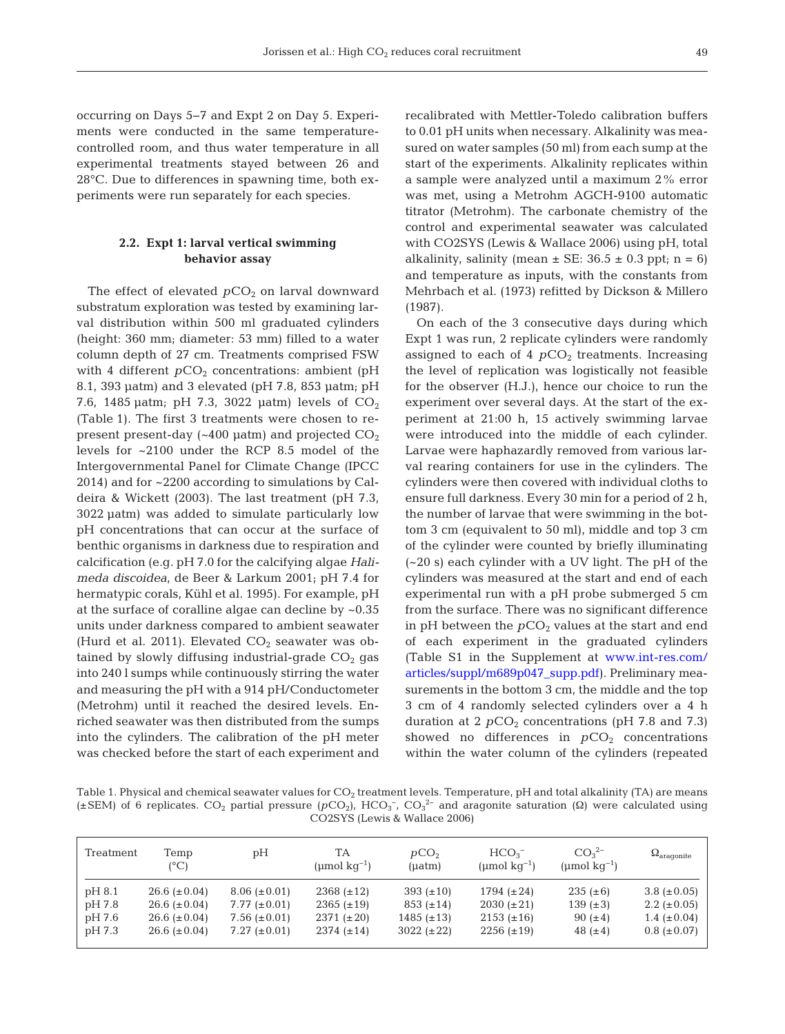occurring on Days 5−7 and Expt 2 on Day 5. Experiments were conducted in the same temperaturecontrolled room, and thus water temperature in all ex perimental treatments stayed between 26 and 28°C. Due to differences in spawning time, both ex periments were run separately for each species.

# **2.2. Expt 1: larval vertical swimming behavior assay**

The effect of elevated  $pCO<sub>2</sub>$  on larval downward substratum exploration was tested by examining larval distribution within 500 ml graduated cylinders (height: 360 mm; diameter: 53 mm) filled to a water column depth of 27 cm. Treatments comprised FSW with 4 different  $pCO<sub>2</sub>$  concentrations: ambient (pH 8.1, 393 μatm) and 3 elevated (pH 7.8, 853 μatm; pH 7.6, 1485 μatm; pH 7.3, 3022 μatm) levels of  $CO<sub>2</sub>$ (Table 1). The first 3 treatments were chosen to re present present-day ( $\sim$ 400  $\mu$ atm) and projected CO<sub>2</sub> levels for ~2100 under the RCP 8.5 model of the Intergovernmental Panel for Climate Change (IPCC  $2014$ ) and for  $\sim$  2200 according to simulations by Caldeira & Wickett (2003). The last treatment (pH 7.3, 3022 μatm) was added to simulate particularly low pH concentrations that can occur at the surface of benthic organisms in darkness due to respiration and calcification (e.g. pH 7.0 for the calcifying algae *Hali meda discoidea*, de Beer & Larkum 2001; pH 7.4 for hermatypic corals, Kühl et al. 1995). For example, pH at the surface of coralline algae can decline by ~0.35 units under darkness compared to ambient seawater (Hurd et al. 2011). Elevated  $CO<sub>2</sub>$  seawater was obtained by slowly diffusing industrial-grade  $CO<sub>2</sub>$  gas into 240 l sumps while continuously stirring the water and measuring the pH with a 914 pH/Conductometer (Metrohm) until it reached the desired levels. Enriched seawater was then distributed from the sumps into the cylinders. The calibration of the pH meter was checked before the start of each experiment and recalibrated with Mettler-Toledo calibration buffers to 0.01 pH units when necessary. Alkalinity was measured on water samples (50 ml) from each sump at the start of the experiments. Alkalinity replicates within a sample were analyzed until a maximum 2% error was met, using a Metrohm AGCH-9100 automatic titrator (Metrohm). The carbonate chemistry of the control and experimental seawater was calculated with CO2SYS (Lewis & Wallace 2006) using pH, total alkalinity, salinity (mean  $\pm$  SE: 36.5  $\pm$  0.3 ppt; n = 6) and temperature as inputs, with the constants from Mehrbach et al. (1973) refitted by Dickson & Millero (1987).

On each of the 3 consecutive days during which Expt 1 was run, 2 replicate cylinders were randomly assigned to each of 4  $pCO<sub>2</sub>$  treatments. Increasing the level of replication was logistically not feasible for the observer (H.J.), hence our choice to run the experiment over several days. At the start of the experiment at 21:00 h, 15 actively swimming larvae were introduced into the middle of each cylinder. Larvae were haphazardly removed from various larval rearing containers for use in the cylinders. The cylinders were then covered with individual cloths to ensure full darkness. Every 30 min for a period of 2 h, the number of larvae that were swimming in the bottom 3 cm (equivalent to 50 ml), middle and top 3 cm of the cylinder were counted by briefly illuminating (~20 s) each cylinder with a UV light. The pH of the cylinders was measured at the start and end of each experimental run with a pH probe submerged 5 cm from the surface. There was no significant difference in pH between the  $pCO<sub>2</sub>$  values at the start and end of each experiment in the graduated cylinders (Table S1 in the Supplement at [www.int-res.com/](https://www.int-res.com/articles/suppl/m689p047_supp.pdf) [articles/suppl/m689p047\\_supp.pdf\)](https://www.int-res.com/articles/suppl/m689p047_supp.pdf). Preliminary measurements in the bottom 3 cm, the middle and the top 3 cm of 4 randomly selected cylinders over a 4 h duration at 2  $pCO<sub>2</sub>$  concentrations (pH 7.8 and 7.3) showed no differences in  $pCO<sub>2</sub>$  concentrations within the water column of the cylinders (repeated

Table 1. Physical and chemical seawater values for  $CO<sub>2</sub>$  treatment levels. Temperature, pH and total alkalinity (TA) are means  $(±$ SEM) of 6 replicates. CO<sub>2</sub> partial pressure ( $pCO_2$ ), HCO<sub>3</sub><sup>-</sup>, CO<sub>3</sub><sup>2</sup> and aragonite saturation (Ω) were calculated using CO2SYS (Lewis & Wallace 2006)

| Treatment | Temp<br>$(^{\circ}C)$ | рH                | TA<br>(umol $kq^{-1}$ ) | pCO <sub>2</sub><br>(uatm) | HCO <sub>3</sub><br>(umol $kq^{-1}$ ) | CO <sub>3</sub> <sup>2</sup><br>(umol $kq^{-1}$ ) | $\Omega_{\text{aragonite}}$ |
|-----------|-----------------------|-------------------|-------------------------|----------------------------|---------------------------------------|---------------------------------------------------|-----------------------------|
| pH 8.1    | 26.6 $(\pm 0.04)$     | $8.06 (\pm 0.01)$ | $2368 (\pm 12)$         | 393 $(\pm 10)$             | 1794 $(\pm 24)$                       | $235 (\pm 6)$                                     | 3.8 $(\pm 0.05)$            |
| pH 7.8    | $26.6 (\pm 0.04)$     | 7.77 $(\pm 0.01)$ | $2365 (\pm 19)$         | $853 (\pm 14)$             | $2030 (\pm 21)$                       | 139 $(\pm 3)$                                     | 2.2 ( $\pm$ 0.05)           |
| pH 7.6    | 26.6 $(\pm 0.04)$     | 7.56 $(\pm 0.01)$ | $2371 (\pm 20)$         | 1485 $(\pm 13)$            | $2153 (\pm 16)$                       | 90 $(\pm 4)$                                      | 1.4 $(\pm 0.04)$            |
| pH 7.3    | $26.6 (\pm 0.04)$     | 7.27 $(\pm 0.01)$ | $2374 (\pm 14)$         | $3022 (\pm 22)$            | $2256 (\pm 19)$                       | 48 $(\pm 4)$                                      | $0.8 (\pm 0.07)$            |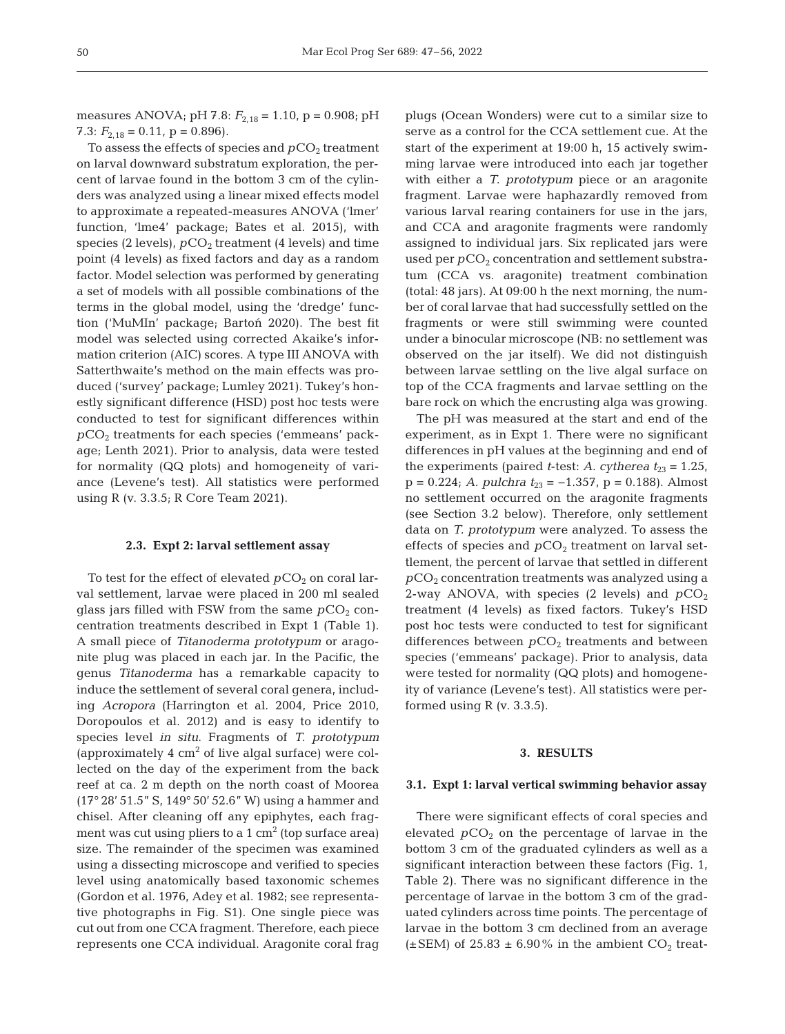measures ANOVA; pH 7.8:  $F_{2,18} = 1.10$ , p = 0.908; pH 7.3:  $F_{2,18} = 0.11$ ,  $p = 0.896$ ).

To assess the effects of species and  $pCO<sub>2</sub>$  treatment on larval downward substratum exploration, the percent of larvae found in the bottom 3 cm of the cylinders was analyzed using a linear mixed effects model to approximate a repeated-measures ANOVA ('lmer' function, 'lme4' package; Bates et al. 2015), with species (2 levels),  $pCO<sub>2</sub>$  treatment (4 levels) and time point (4 levels) as fixed factors and day as a random factor. Model selection was performed by generating a set of models with all possible combinations of the terms in the global model, using the 'dredge' function ('MuMIn' package; Bartoń 2020). The best fit model was selected using corrected Akaike's information criterion (AIC) scores. A type III ANOVA with Satterthwaite's method on the main effects was produced ('survey' package; Lumley 2021). Tukey's honestly significant difference (HSD) post hoc tests were conducted to test for significant differences within  $pCO<sub>2</sub>$  treatments for each species ('emmeans' package; Lenth 2021). Prior to analysis, data were tested for normality (QQ plots) and homogeneity of variance (Levene's test). All statistics were performed using R (v. 3.3.5; R Core Team 2021).

## **2.3. Expt 2: larval settlement assay**

To test for the effect of elevated  $pCO<sub>2</sub>$  on coral larval settlement, larvae were placed in 200 ml sealed glass jars filled with FSW from the same  $pCO<sub>2</sub>$  concentration treatments described in Expt 1 (Table 1). A small piece of *Titanoderma prototypum* or aragonite plug was placed in each jar. In the Pacific, the genus *Titanoderma* has a remarkable capacity to induce the settlement of several coral genera, including *Acropora* (Harrington et al. 2004, Price 2010, Doropoulos et al. 2012) and is easy to identify to species level *in situ*. Fragments of *T. prototypum* (approximately  $4 \text{ cm}^2$  of live algal surface) were collected on the day of the experiment from the back reef at ca. 2 m depth on the north coast of Moorea (17° 28' 51.5" S, 149° 50' 52.6" W) using a hammer and chisel. After cleaning off any epiphytes, each fragment was cut using pliers to a 1  $\text{cm}^2$  (top surface area) size. The remainder of the specimen was examined using a dissecting microscope and verified to species level using anatomically based taxonomic schemes (Gordon et al. 1976, Adey et al. 1982; see representative photographs in Fig. S1). One single piece was cut out from one CCA fragment. Therefore, each piece represents one CCA individual. Aragonite coral frag

plugs (Ocean Wonders) were cut to a similar size to serve as a control for the CCA settlement cue. At the start of the experiment at 19:00 h, 15 actively swimming larvae were introduced into each jar together with either a *T. prototypum* piece or an aragonite fragment. Larvae were haphazardly removed from various larval rearing containers for use in the jars, and CCA and aragonite fragments were randomly assigned to individual jars. Six replicated jars were used per  $pCO<sub>2</sub>$  concentration and settlement substratum (CCA vs. aragonite) treatment combination (total: 48 jars). At 09:00 h the next morning, the number of coral larvae that had successfully settled on the fragments or were still swimming were counted under a binocular microscope (NB: no settlement was observed on the jar itself). We did not distinguish between larvae settling on the live algal surface on top of the CCA fragments and larvae settling on the bare rock on which the encrusting alga was growing.

The pH was measured at the start and end of the experiment, as in Expt 1. There were no significant differences in pH values at the beginning and end of the experiments (paired *t*-test: *A. cytherea*  $t_{23} = 1.25$ , p = 0.224; *A. pulchra t*23 = −1.357, p = 0.188). Almost no settlement occurred on the aragonite fragments (see Section 3.2 below). Therefore, only settlement data on *T. prototypum* were analyzed. To assess the effects of species and  $pCO<sub>2</sub>$  treatment on larval settlement, the percent of larvae that settled in different  $pCO<sub>2</sub>$  concentration treatments was analyzed using a 2-way ANOVA, with species  $(2 \text{ levels})$  and  $pCO_2$ treatment (4 levels) as fixed factors. Tukey's HSD post hoc tests were conducted to test for significant differences between  $pCO<sub>2</sub>$  treatments and between species ('emmeans' package). Prior to analysis, data were tested for normality (QQ plots) and homogeneity of variance (Levene's test). All statistics were performed using  $R$  (v. 3.3.5).

## **3. RESULTS**

#### **3.1. Expt 1: larval vertical swimming behavior assay**

There were significant effects of coral species and elevated  $pCO<sub>2</sub>$  on the percentage of larvae in the bottom 3 cm of the graduated cylinders as well as a significant interaction between these factors (Fig. 1, Table 2). There was no significant difference in the percentage of larvae in the bottom 3 cm of the graduated cylinders across time points. The percentage of larvae in the bottom 3 cm declined from an average ( $\pm$ SEM) of 25.83  $\pm$  6.90% in the ambient CO<sub>2</sub> treat-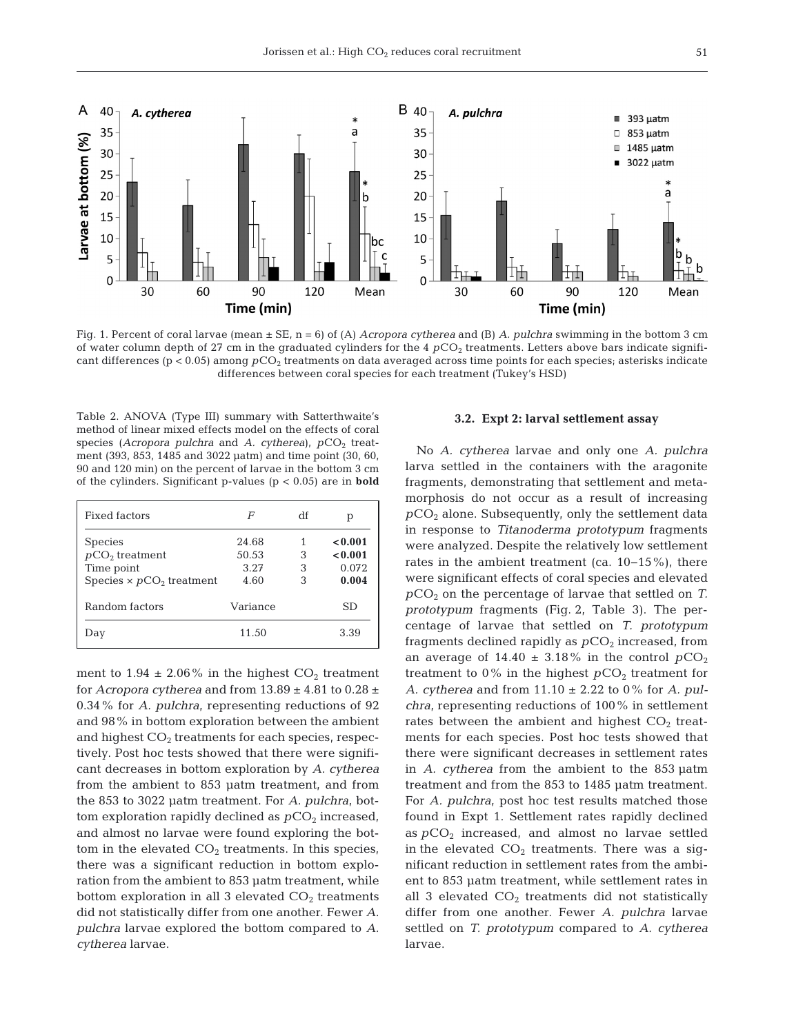

Fig. 1. Percent of coral larvae (mean ± SE, n = 6) of (A) *Acropora cytherea* and (B) *A. pulchra* swimming in the bottom 3 cm of water column depth of 27 cm in the graduated cylinders for the 4  $pCO<sub>2</sub>$  treatments. Letters above bars indicate significant differences (p < 0.05) among  $pCO<sub>2</sub>$  treatments on data averaged across time points for each species; asterisks indicate differences between coral species for each treatment (Tukey's HSD)

Table 2. ANOVA (Type III) summary with Satterthwaite's method of linear mixed effects model on the effects of coral species (*Acropora pulchra* and *A. cytherea*),  $pCO<sub>2</sub>$  treatment (393, 853, 1485 and 3022 μatm) and time point (30, 60, 90 and 120 min) on the percent of larvae in the bottom 3 cm of the cylinders. Significant p-values (p < 0.05) are in **bold**

| Fixed factors                   | F        | df | р       |
|---------------------------------|----------|----|---------|
| <b>Species</b>                  | 24.68    |    | < 0.001 |
| $pCO2$ treatment                | 50.53    | 3  | < 0.001 |
| Time point                      | 3.27     | 3  | 0.072   |
| Species $\times pCO2$ treatment | 4.60     | 3  | 0.004   |
| Random factors                  | Variance |    | SD      |
| Day                             | 11.50    |    | 3.39    |

ment to 1.94  $\pm$  2.06% in the highest CO<sub>2</sub> treatment for *Acropora cytherea* and from 13.89 ± 4.81 to 0.28 ± 0.34% for *A. pulchra*, representing reductions of 92 and 98% in bottom exploration between the ambient and highest  $CO<sub>2</sub>$  treatments for each species, respectively. Post hoc tests showed that there were significant decreases in bottom exploration by *A. cytherea* from the ambient to 853 μatm treatment, and from the 853 to 3022 μatm treatment. For *A. pulchra*, bottom exploration rapidly declined as  $pCO<sub>2</sub>$  increased, and almost no larvae were found exploring the bottom in the elevated  $CO<sub>2</sub>$  treatments. In this species, there was a significant reduction in bottom exploration from the ambient to 853 μatm treatment, while bottom exploration in all 3 elevated  $CO<sub>2</sub>$  treatments did not statistically differ from one another. Fewer *A. pulchra* larvae explored the bottom compared to *A. cytherea* larvae.

#### **3.2. Expt 2: larval settlement assay**

No *A. cytherea* larvae and only one *A. pulchra* larva settled in the containers with the aragonite fragments, demonstrating that settlement and metamorphosis do not occur as a result of increasing  $pCO<sub>2</sub>$  alone. Subsequently, only the settlement data in re sponse to *Titanoderma prototypum* fragments were analyzed. Despite the relatively low settlement rates in the ambient treatment (ca. 10−15%), there were significant effects of coral species and elevated *p*CO2 on the percentage of larvae that settled on *T. prototypum* fragments (Fig. 2, Table 3). The percentage of larvae that settled on *T. prototypum* fragments declined rapidly as  $pCO<sub>2</sub>$  increased, from an average of  $14.40 \pm 3.18\%$  in the control  $pCO_2$ treatment to  $0\%$  in the highest  $pCO<sub>2</sub>$  treatment for *A. cytherea* and from 11.10 ± 2.22 to 0% for *A. pulchra*, representing reductions of 100% in settlement rates between the ambient and highest  $CO<sub>2</sub>$  treatments for each species. Post hoc tests showed that there were significant decreases in settlement rates in *A. cythe rea* from the ambient to the 853 μatm treatment and from the 853 to 1485 μatm treatment. For *A. pulchra*, post hoc test results matched those found in Expt 1. Settlement rates rapidly declined as  $pCO<sub>2</sub>$  increased, and almost no larvae settled in the elevated  $CO<sub>2</sub>$  treatments. There was a significant reduction in settlement rates from the ambient to 853 μatm treatment, while settlement rates in all 3 elevated  $CO<sub>2</sub>$  treatments did not statistically differ from one another. Fewer *A. pulchra* larvae settled on *T. prototypum* compared to *A. cytherea* larvae.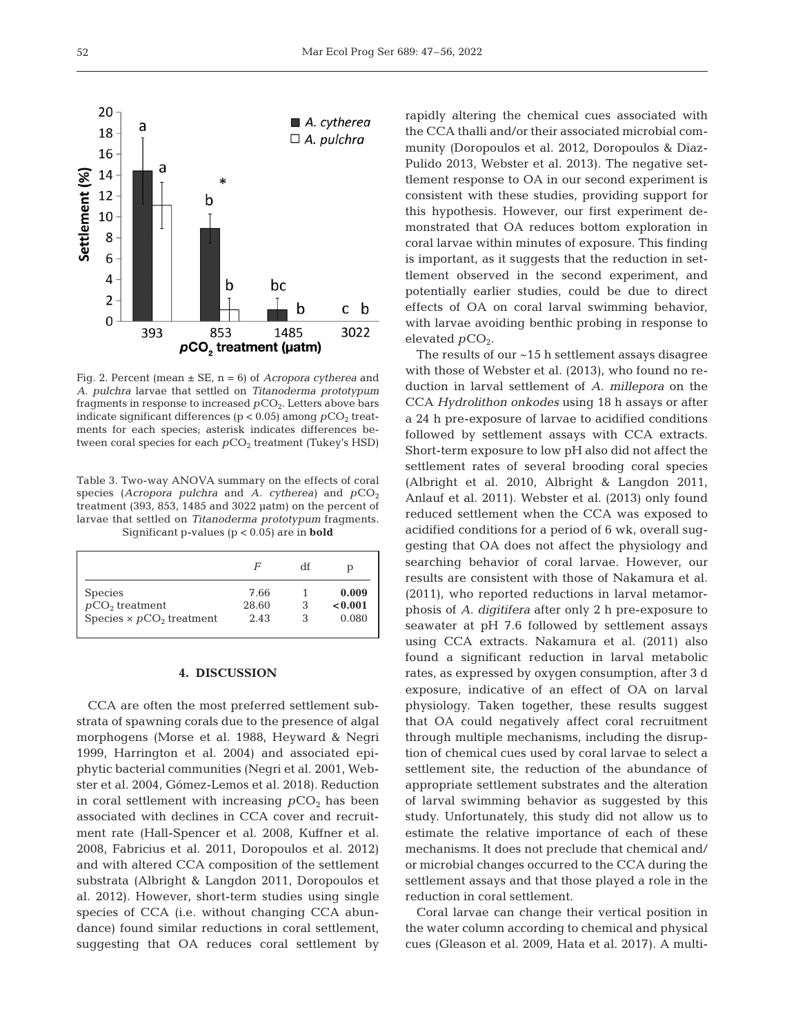

Fig. 2. Percent (mean ± SE, n = 6) of *Acropora cytherea* and *A. pulchra* larvae that settled on *Titanoderma prototypum* fragments in response to increased  $pCO<sub>2</sub>$ . Letters above bars indicate significant differences ( $p < 0.05$ ) among  $pCO<sub>2</sub>$  treatments for each species; asterisk indicates differences between coral species for each  $pCO<sub>2</sub>$  treatment (Tukey's HSD)

Table 3. Two-way ANOVA summary on the effects of coral species ( $Acropora$  pulchra and  $A$ . cytherea) and  $pCO<sub>2</sub>$ treatment (393, 853, 1485 and 3022 μatm) on the percent of larvae that settled on *Titanoderma prototypum* fragments. Significant p-values (p < 0.05) are in **bold**

|                                 | F     | df | р       |
|---------------------------------|-------|----|---------|
| <b>Species</b>                  | 7.66  |    | 0.009   |
| $pCO2$ treatment                | 28.60 | 3  | < 0.001 |
| Species $\times pCO2$ treatment | 2.43  |    | 0.080   |

#### **4. DISCUSSION**

CCA are often the most preferred settlement substrata of spawning corals due to the presence of algal morphogens (Morse et al. 1988, Heyward & Negri 1999, Harrington et al. 2004) and associated epiphytic bacterial communities (Negri et al. 2001, Webster et al. 2004, Gómez-Lemos et al. 2018). Reduction in coral settlement with increasing  $pCO<sub>2</sub>$  has been associated with declines in CCA cover and recruitment rate (Hall-Spencer et al. 2008, Kuffner et al. 2008, Fabricius et al. 2011, Doropoulos et al. 2012) and with altered CCA composition of the settlement substrata (Albright & Langdon 2011, Doropoulos et al. 2012). However, short-term studies using single species of CCA (i.e. without changing CCA abundance) found similar reductions in coral settlement, suggesting that OA reduces coral settlement by rapidly altering the chemical cues associated with the CCA thalli and/or their associated microbial community (Doropoulos et al. 2012, Doropoulos & Diaz-Pulido 2013, Webster et al. 2013). The negative settlement response to OA in our second experiment is consistent with these studies, providing support for this hypothesis. However, our first experiment de monstrated that OA reduces bottom exploration in coral larvae within minutes of exposure. This finding is important, as it suggests that the reduction in settlement observed in the second experiment, and potentially earlier studies, could be due to direct effects of OA on coral larval swimming behavior, with larvae avoiding benthic probing in response to elevated  $pCO<sub>2</sub>$ .

The results of our ~15 h settlement assays disagree with those of Webster et al. (2013), who found no reduction in larval settlement of *A. millepora* on the CCA *Hydrolithon onkodes* using 18 h assays or after a 24 h pre-exposure of larvae to acidified conditions followed by settlement assays with CCA extracts. Short-term exposure to low pH also did not affect the settlement rates of several brooding coral species (Albright et al. 2010, Albright & Langdon 2011, Anlauf et al. 2011). Webster et al. (2013) only found reduced settlement when the CCA was exposed to acidified conditions for a period of 6 wk, overall suggesting that OA does not affect the physiology and searching behavior of coral larvae. However, our results are consistent with those of Nakamura et al. (2011), who reported reductions in larval metamorphosis of *A. digitifera* after only 2 h pre-exposure to seawater at pH 7.6 followed by settlement assays using CCA extracts. Nakamura et al. (2011) also found a significant reduction in larval metabolic rates, as expressed by oxygen consumption, after 3 d ex posure, indicative of an effect of OA on larval physiology. Taken together, these results suggest that OA could negatively affect coral recruitment through multiple mechanisms, including the disruption of chemical cues used by coral larvae to select a settlement site, the reduction of the abundance of appropriate settlement substrates and the alteration of larval swimming behavior as suggested by this study. Unfortunately, this study did not allow us to estimate the relative importance of each of these mechanisms. It does not preclude that chemical and/ or microbial changes occurred to the CCA during the settlement assays and that those played a role in the reduction in coral settlement.

Coral larvae can change their vertical position in the water column according to chemical and physical cues (Gleason et al. 2009, Hata et al. 2017). A multi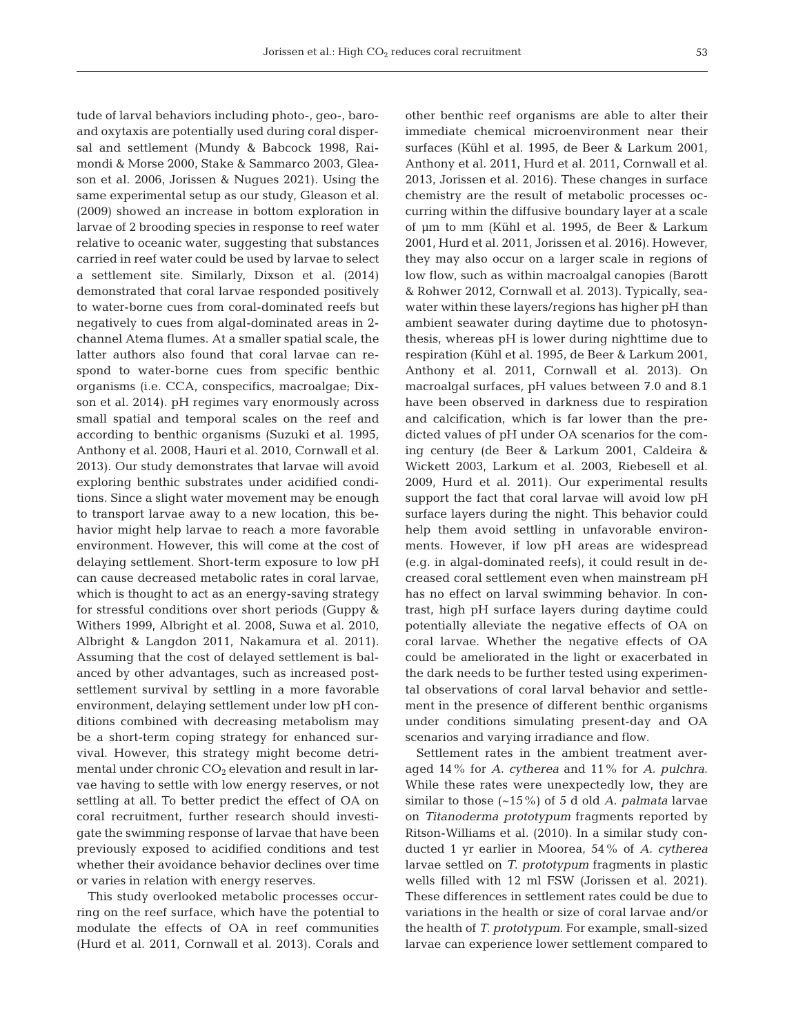tude of larval behaviors including photo-, geo-, baroand oxytaxis are potentially used during coral dispersal and settlement (Mundy & Babcock 1998, Raimondi & Morse 2000, Stake & Sammarco 2003, Gleason et al. 2006, Jorissen & Nugues 2021). Using the same experimental setup as our study, Gleason et al. (2009) showed an increase in bottom exploration in larvae of 2 brooding species in response to reef water relative to oceanic water, suggesting that substances carried in reef water could be used by larvae to select a settlement site. Similarly, Dixson et al. (2014) demonstrated that coral larvae responded positively to water-borne cues from coral-dominated reefs but negatively to cues from algal-dominated areas in 2 channel Atema flumes. At a smaller spatial scale, the latter authors also found that coral larvae can respond to water-borne cues from specific benthic organisms (i.e. CCA, conspecifics, macroalgae; Dixson et al. 2014). pH regimes vary enormously across small spatial and temporal scales on the reef and according to benthic organisms (Suzuki et al. 1995, Anthony et al. 2008, Hauri et al. 2010, Cornwall et al. 2013). Our study demonstrates that larvae will avoid exploring benthic substrates under acidified conditions. Since a slight water movement may be enough to transport larvae away to a new location, this be havior might help larvae to reach a more favorable environment. However, this will come at the cost of delaying settlement. Short-term exposure to low pH can cause decreased metabolic rates in coral larvae, which is thought to act as an energy-saving strategy for stressful conditions over short periods (Guppy & Withers 1999, Albright et al. 2008, Suwa et al. 2010, Albright & Langdon 2011, Nakamura et al. 2011). Assuming that the cost of delayed settlement is balanced by other advantages, such as increased postsettlement survival by settling in a more favorable environment, delaying settlement under low pH conditions combined with decreasing metabolism may be a short-term coping strategy for enhanced survival. However, this strategy might become detrimental under chronic CO<sub>2</sub> elevation and result in larvae having to settle with low energy reserves, or not settling at all. To better predict the effect of OA on coral recruitment, further research should investigate the swimming response of larvae that have been previously exposed to acidified conditions and test whether their avoidance behavior declines over time or varies in relation with energy reserves.

This study overlooked metabolic processes occurring on the reef surface, which have the potential to modulate the effects of OA in reef communities (Hurd et al. 2011, Cornwall et al. 2013). Corals and other benthic reef organisms are able to alter their immediate chemical microenvironment near their surfaces (Kühl et al. 1995, de Beer & Larkum 2001, Anthony et al. 2011, Hurd et al. 2011, Cornwall et al. 2013, Jorissen et al. 2016). These changes in surface chemistry are the result of metabolic processes oc curring within the diffusive boundary layer at a scale of μm to mm (Kühl et al. 1995, de Beer & Larkum 2001, Hurd et al. 2011, Jorissen et al. 2016). However, they may also occur on a larger scale in regions of low flow, such as within macroalgal canopies (Barott & Rohwer 2012, Cornwall et al. 2013). Typically, seawater within these layers/regions has higher pH than ambient seawater during daytime due to photosynthesis, whereas pH is lower during nighttime due to respiration (Kühl et al. 1995, de Beer & Larkum 2001, Anthony et al. 2011, Cornwall et al. 2013). On macroalgal surfaces, pH values between 7.0 and 8.1 have been observed in darkness due to respiration and calcification, which is far lower than the predicted values of pH under OA scenarios for the coming century (de Beer & Larkum 2001, Caldeira & Wickett 2003, Larkum et al. 2003, Riebesell et al. 2009, Hurd et al. 2011). Our experimental results support the fact that coral larvae will avoid low pH surface layers during the night. This behavior could help them avoid settling in unfavorable environments. However, if low pH areas are widespread (e.g. in algal-dominated reefs), it could result in de creased coral settlement even when mainstream pH has no effect on larval swimming behavior. In contrast, high pH surface layers during daytime could potentially alleviate the negative effects of OA on coral larvae. Whether the negative effects of OA could be ameliorated in the light or exacerbated in the dark needs to be further tested using experimental observations of coral larval behavior and settlement in the presence of different benthic organisms under conditions simulating present-day and OA scenarios and varying irradiance and flow.

Settlement rates in the ambient treatment averaged 14% for *A. cytherea* and 11% for *A. pulchra*. While these rates were unexpectedly low, they are similar to those (~15%) of 5 d old *A. palmata* larvae on *Titanoderma prototypum* fragments reported by Ritson-Williams et al. (2010). In a similar study conducted 1 yr earlier in Moorea, 54% of *A. cytherea* larvae settled on *T. prototypum* fragments in plastic wells filled with 12 ml FSW (Jorissen et al. 2021). These differences in settlement rates could be due to variations in the health or size of coral larvae and/or the health of *T. prototypum*. For example, small-sized larvae can experience lower settlement compared to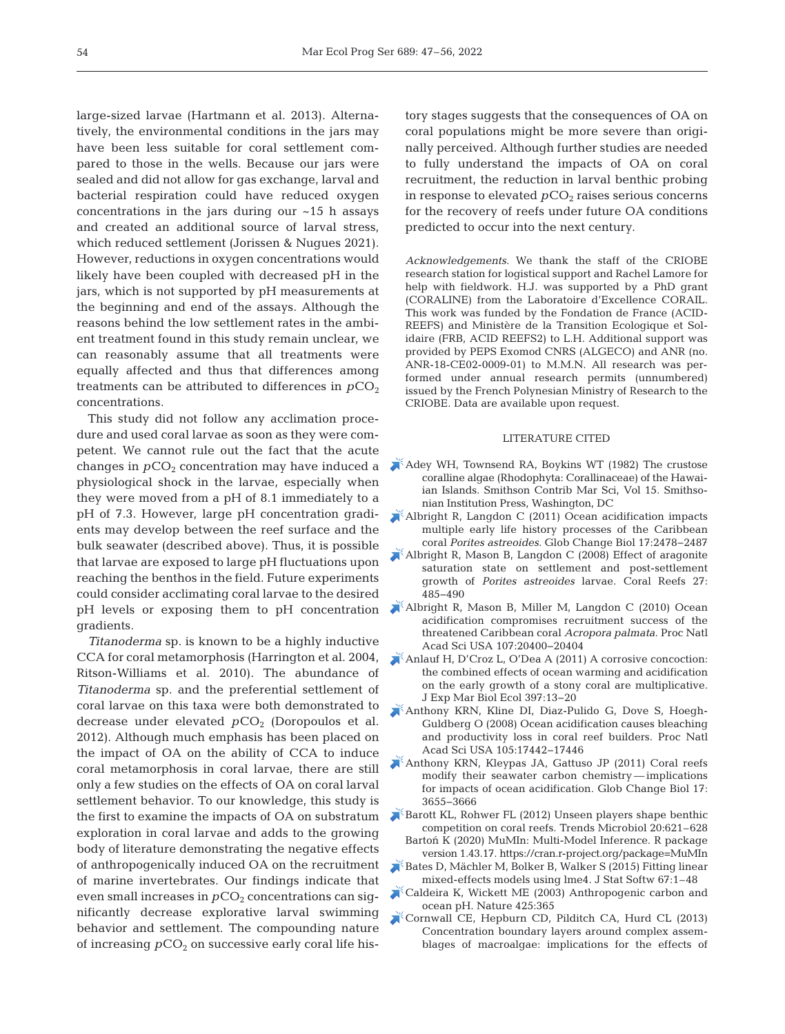large-sized larvae (Hartmann et al. 2013). Alternatively, the environmental conditions in the jars may have been less suitable for coral settlement compared to those in the wells. Because our jars were sealed and did not allow for gas exchange, larval and bacterial respiration could have reduced oxygen concentrations in the jars during our  $~15$  h assays and created an additional source of larval stress, which reduced settlement (Jorissen & Nugues 2021). However, reductions in oxygen concentrations would likely have been coupled with decreased pH in the jars, which is not supported by pH measurements at the beginning and end of the assays. Although the reasons behind the low settlement rates in the ambient treatment found in this study remain unclear, we can reasonably assume that all treatments were equally affected and thus that differences among treatments can be attributed to differences in  $pCO<sub>2</sub>$ concentrations.

This study did not follow any acclimation procedure and used coral larvae as soon as they were competent. We cannot rule out the fact that the acute changes in  $pCO<sub>2</sub>$  concentration may have induced a physiological shock in the larvae, especially when they were moved from a pH of 8.1 immediately to a pH of 7.3. However, large pH concentration gradients may develop between the reef surface and the bulk seawater (described above). Thus, it is possible that larvae are exposed to large pH fluctuations upon reaching the benthos in the field. Future experiments could consider acclimating coral larvae to the desired pH levels or exposing them to pH concentration gradients.

*Titanoderma* sp. is known to be a highly inductive CCA for coral metamorphosis (Harrington et al. 2004, Ritson-Williams et al. 2010). The abundance of *Titano derma* sp. and the preferential settlement of coral larvae on this taxa were both demonstrated to decrease under elevated  $pCO<sub>2</sub>$  (Doropoulos et al. 2012). Although much emphasis has been placed on the impact of OA on the ability of CCA to induce coral metamorphosis in coral larvae, there are still only a few studies on the effects of OA on coral larval settlement behavior. To our knowledge, this study is the first to examine the impacts of OA on substratum exploration in coral larvae and adds to the growing body of literature demonstrating the negative effects of anthropogenically induced OA on the recruitment of marine invertebrates. Our findings indicate that even small increases in  $pCO_2$  concentrations can significantly de crease explorative larval swimming behavior and settlement. The compounding nature of increasing  $pCO<sub>2</sub>$  on successive early coral life history stages suggests that the consequences of OA on coral populations might be more severe than originally perceived. Although further studies are needed to fully understand the impacts of OA on coral recruitment, the reduction in larval benthic probing in response to elevated  $pCO<sub>2</sub>$  raises serious concerns for the recovery of reefs under future OA conditions predicted to occur into the next century.

*Acknowledgements*. We thank the staff of the CRIOBE research station for logistical support and Rachel Lamore for help with fieldwork. H.J. was supported by a PhD grant (CORALINE) from the Laboratoire d'Excellence CORAIL. This work was funded by the Fondation de France (ACID-REEFS) and Ministère de la Transition Ecologique et Solidaire (FRB, ACID REEFS2) to L.H. Additional support was provided by PEPS Exomod CNRS (ALGECO) and ANR (no. ANR-18-CE02-0009-01) to M.M.N. All research was performed under annual research permits (unnumbered) issued by the French Polynesian Ministry of Research to the CRIOBE. Data are available upon request.

## LITERATURE CITED

- [Adey WH, Townsend RA, Boykins WT \(1982\) The crustose](https://doi.org/10.5479/si.01960768.15.1)  coralline algae (Rhodophyta:Corallinaceae) of the Hawaiian Islands. Smithson Contrib Mar Sci, Vol 15. Smithsonian Institution Press, Washington, DC
- [Albright R, Langdon C \(2011\) Ocean acidification impacts](https://doi.org/10.1111/j.1365-2486.2011.02404.x)  multiple early life history processes of the Caribbean coral *Porites astreoides*. Glob Change Biol 17: 2478−2487
- [Albright R, Mason B, Langdon C \(2008\) Effect of aragonite](https://doi.org/10.1007/s00338-008-0392-5)  saturation state on settlement and post-settlement growth of *Porites astreoides* larvae. Coral Reefs 27: 485−490
- [Albright R, Mason B, Miller M, Langdon C \(2010\) Ocean](https://doi.org/10.1073/pnas.1007273107)  acidification compromises recruitment success of the threatened Caribbean coral *Acropora palmata*. Proc Natl Acad Sci USA 107:20400-20404
- [Anlauf H, D'Croz L, O'Dea A \(2011\) A corrosive concoction:](https://doi.org/10.1016/j.jembe.2010.11.009)  the combined effects of ocean warming and acidification on the early growth of a stony coral are multiplicative. J Exp Mar Biol Ecol 397: 13−20
- [Anthony KRN, Kline DI, Diaz-Pulido G, Dove S, Hoegh-](https://doi.org/10.1073/pnas.0804478105)Guldberg O (2008) Ocean acidification causes bleaching and productivity loss in coral reef builders. Proc Natl Acad Sci USA 105: 17442−17446
- [Anthony KRN, Kleypas JA, Gattuso JP \(2011\) Coral reefs](https://doi.org/10.1111/j.1365-2486.2011.02510.x)  modify their seawater carbon chemistry — implications for impacts of ocean acidification. Glob Change Biol 17: 3655−3666

[Barott KL, Rohwer FL \(2012\) Unseen players shape benthic](https://doi.org/10.1016/j.tim.2012.08.004)  competition on coral reefs. Trends Microbiol 20:621–628 Bartoń K (2020) MuMIn: Multi-Model Inference. R package

- version 1.43.17. https://cran.r-project.org/package=MuMIn [Bates D, Mächler M, Bolker B, Walker S \(2015\) Fitting linear](https://doi.org/10.18637/jss.v067.i01)
- mixed-effects models using lme4. J Stat Softw 67:1–48 [Caldeira K, Wickett ME \(2003\) Anthropogenic carbon and](https://doi.org/10.1038/425365a)
- ocean pH. Nature 425:365
- [Cornwall CE, Hepburn CD, Pilditch CA, Hurd CL \(2013\)](https://doi.org/10.4319/lo.2013.58.1.0121)  Concentration boundary layers around complex assemblages of macroalgae: implications for the effects of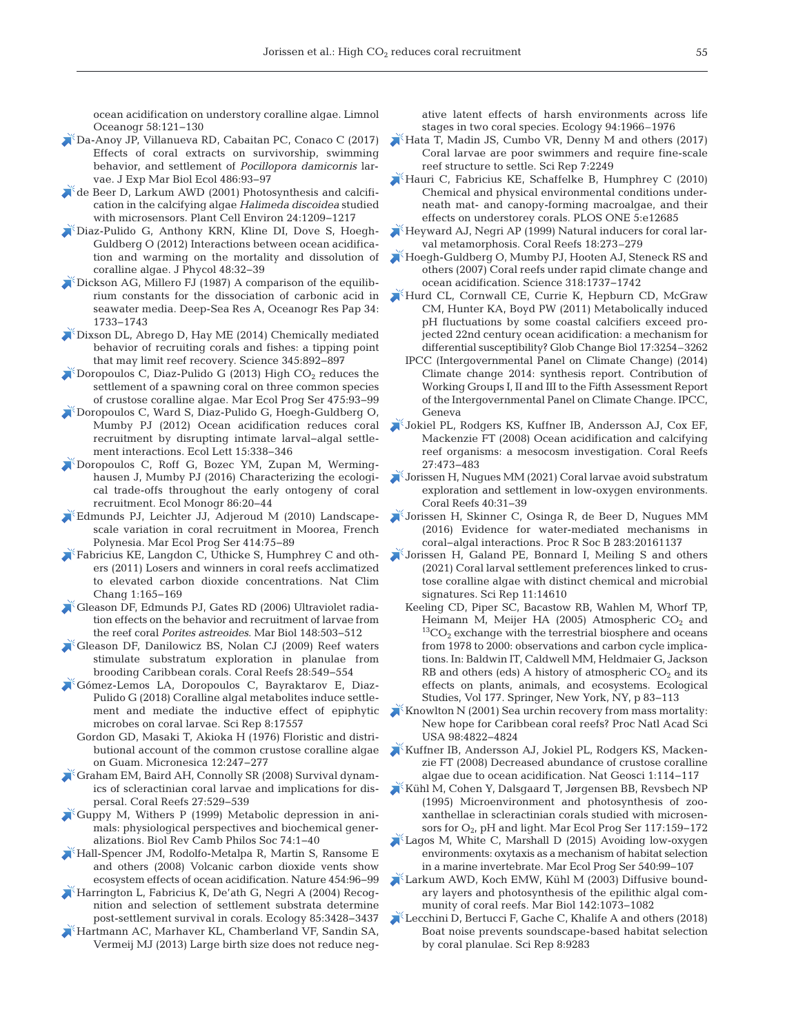ocean acidification on understory coralline algae. Limnol Oceanogr 58: 121−130

- [Da-Anoy JP, Villanueva RD, Cabaitan PC, Conaco C \(2017\)](https://doi.org/10.1016/j.jembe.2016.10.006)  Effects of coral extracts on survivorship, swimming behavior, and settlement of *Pocillopora damicornis* larvae. J Exp Mar Biol Ecol 486:93-97
- [de Beer D, Larkum AWD \(2001\) Photosynthesis and calcifi](https://doi.org/10.1046/j.1365-3040.2001.00772.x)cation in the calcifying algae *Halimeda discoidea* studied with microsensors. Plant Cell Environ 24: 1209−1217
- [Diaz-Pulido G, Anthony KRN, Kline DI, Dove S, Hoegh-](https://doi.org/10.1111/j.1529-8817.2011.01084.x)Guldberg O (2012) Interactions between ocean acidification and warming on the mortality and dissolution of coralline algae. J Phycol 48:32-39
- [Dickson AG, Millero FJ \(1987\) A comparison of the equilib](https://doi.org/10.1016/0198-0149(87)90021-5)rium constants for the dissociation of carbonic acid in seawater media. Deep-Sea Res A, Oceanogr Res Pap 34: 1733−1743
- [Dixson DL, Abrego D, Hay ME \(2014\) Chemically mediated](https://doi.org/10.1126/science.1255057)  behavior of recruiting corals and fishes: a tipping point that may limit reef recovery. Science 345: 892−897
- $\blacktriangleright$  Doropoulos C, Diaz-Pulido G (2013) High CO<sub>2</sub> reduces the settlement of a spawning coral on three common species of crustose coralline algae. Mar Ecol Prog Ser 475: 93−99
- [Doropoulos C, Ward S, Diaz-Pulido G, Hoegh-Guldberg O,](https://doi.org/10.1111/j.1461-0248.2012.01743.x)  Mumby PJ (2012) Ocean acidification reduces coral recruitment by disrupting intimate larval−algal settlement interactions. Ecol Lett 15: 338−346
- [Doropoulos C, Roff G, Bozec YM, Zupan M, Werming](https://doi.org/10.1890/15-0668.1)hausen J, Mumby PJ (2016) Characterizing the ecological trade-offs throughout the early ontogeny of coral recruitment. Ecol Monogr 86: 20−44
- [Edmunds PJ, Leichter JJ, Adjeroud M \(2010\) Landscape](https://doi.org/10.3354/meps08728)scale variation in coral recruitment in Moorea, French Polynesia. Mar Ecol Prog Ser 414: 75−89
- [Fabricius KE, Langdon C, Uthicke S, Humphrey C and oth](https://doi.org/10.1038/nclimate1122)ers (2011) Losers and winners in coral reefs acclimatized to elevated carbon dioxide concentrations. Nat Clim Chang 1: 165−169
- [Gleason DF, Edmunds PJ, Gates RD \(2006\) Ultraviolet radia](https://doi.org/10.1007/s00227-005-0098-y)tion effects on the behavior and recruitment of larvae from the reef coral *Porites astreoides*. Mar Biol 148:503-512
- [Gleason DF, Danilowicz BS, Nolan CJ \(2009\) Reef waters](https://doi.org/10.1007/s00338-009-0480-1)  stimulate substratum exploration in planulae from brooding Caribbean corals. Coral Reefs 28: 549−554
- [Gómez-Lemos LA, Doropoulos C, Bayraktarov E, Diaz-](https://doi.org/10.1038/s41598-018-35206-9)Pulido G (2018) Coralline algal metabolites induce settlement and mediate the inductive effect of epiphytic microbes on coral larvae. Sci Rep 8:17557
	- Gordon GD, Masaki T, Akioka H (1976) Floristic and distributional account of the common crustose coralline algae on Guam. Micronesica 12: 247−277
- [Graham EM, Baird AH, Connolly SR \(2008\) Survival dynam](https://doi.org/10.1007/s00338-008-0361-z)ics of scleractinian coral larvae and implications for dispersal. Coral Reefs 27: 529−539
- [Guppy M, Withers P \(1999\) Metabolic depression in ani](https://doi.org/10.1017/S0006323198005258)mals: physiological perspectives and biochemical generalizations. Biol Rev Camb Philos Soc 74: 1−40
- [Hall-Spencer JM, Rodolfo-Metalpa R, Martin S, Ransome E](https://doi.org/10.1038/nature07051)  and others (2008) Volcanic carbon dioxide vents show ecosystem effects of ocean acidification. Nature 454:96-99
- [Harrington L, Fabricius K, De'ath G, Negri A \(2004\) Recog](https://doi.org/10.1890/04-0298)nition and selection of settlement substrata determine post-settlement survival in corals. Ecology 85:3428-3437
- [Hartmann AC, Marhaver KL, Chamberland VF, Sandin SA,](https://doi.org/10.1890/13-0161.1)  Vermeij MJ (2013) Large birth size does not reduce neg-

ative latent effects of harsh environments across life stages in two coral species. Ecology 94:1966–1976

- [Hata T, Madin JS, Cumbo VR, Denny M and others \(2017\)](https://doi.org/10.1038/s41598-017-02402-y)  Coral larvae are poor swimmers and require fine-scale reef structure to settle. Sci Rep 7:2249
- [Hauri C, Fabricius KE, Schaffelke B, Humphrey C \(2010\)](https://doi.org/10.1371/journal.pone.0012685)  Chemical and physical environmental conditions underneath mat- and canopy-forming macroalgae, and their effects on understorey corals. PLOS ONE 5:e12685
- [Heyward AJ, Negri AP \(1999\) Natural inducers for coral lar](https://doi.org/10.1007/s003380050193)val metamorphosis. Coral Reefs 18:273–279
- [Hoegh-Guldberg O, Mumby PJ, Hooten AJ, Steneck RS and](https://doi.org/10.1126/science.1152509)  others (2007) Coral reefs under rapid climate change and ocean acidification. Science 318: 1737−1742
- [Hurd CL, Cornwall CE, Currie K, Hepburn CD, McGraw](https://doi.org/10.1111/j.1365-2486.2011.02473.x)  CM, Hunter KA, Boyd PW (2011) Metabolically induced pH fluctuations by some coastal calcifiers exceed projected 22nd century ocean acidification: a mechanism for differential susceptibility? Glob Change Biol 17:3254–3262
	- IPCC (Intergovernmental Panel on Climate Change) (2014) Climate change 2014: synthesis report. Contribution of Working Groups I, II and III to the Fifth Assessment Report of the Intergovernmental Panel on Climate Change. IPCC, Geneva
- [Jokiel PL, Rodgers KS, Kuffner IB, Andersson AJ, Cox EF,](https://doi.org/10.1007/s00338-008-0380-9)  Mackenzie FT (2008) Ocean acidification and calcifying reef organisms: a mesocosm investigation. Coral Reefs 27: 473−483
- [Jorissen H, Nugues MM \(2021\) Coral larvae avoid substratum](https://doi.org/10.1007/s00338-020-02013-6)  exploration and settlement in low-oxygen environments. Coral Reefs 40:31-39
- [Jorissen H, Skinner C, Osinga R, de Beer D, Nugues MM](https://doi.org/10.1098/rspb.2016.1137)  (2016) Evidence for water-mediated mechanisms in coral−algal interactions. Proc R Soc B 283: 20161137
- [Jorissen H, Galand PE, Bonnard I, Meiling S and others](https://doi.org/10.1038/s41598-021-94096-6)  (2021) Coral larval settlement preferences linked to crustose coralline algae with distinct chemical and microbial signatures. Sci Rep 11:14610
	- Keeling CD, Piper SC, Bacastow RB, Wahlen M, Whorf TP, Heimann M, Meijer HA (2005) Atmospheric  $CO_2$  and  $^{13}CO_2$  exchange with the terrestrial biosphere and oceans from 1978 to 2000: observations and carbon cycle implications. In: Baldwin IT, Caldwell MM, Heldmaier G, Jackson RB and others (eds) A history of atmospheric  $CO<sub>2</sub>$  and its effects on plants, animals, and ecosystems. Ecological Studies, Vol 177. Springer, New York, NY, p 83−113
- Knowlton N (2001) Sea urchin recovery from mass mortality: New hope for Caribbean coral reefs? Proc Natl Acad Sci USA 98:4822-4824
- [Kuffner IB, Andersson AJ, Jokiel PL, Rodgers KS, Macken](https://doi.org/10.1038/ngeo100)zie FT (2008) Decreased abundance of crustose coralline algae due to ocean acidification. Nat Geosci 1: 114−117
- [Kühl M, Cohen Y, Dalsgaard T, Jørgensen BB, Revsbech NP](https://doi.org/10.3354/meps117159)  (1995) Microenvironment and photosynthesis of zoo xanthellae in scleractinian corals studied with microsensors for O<sub>2</sub>, pH and light. Mar Ecol Prog Ser 117:159-172
- [Lagos M, White C, Marshall D \(2015\) Avoiding low-oxygen](https://doi.org/10.3354/meps11509)  environments:oxytaxis as a mechanism of habitat selection in a marine invertebrate. Mar Ecol Prog Ser 540: 99−107
- [Larkum AWD, Koch EMW, Kühl M \(2003\) Diffusive bound](https://doi.org/10.1007/s00227-003-1022-y)ary layers and photosynthesis of the epilithic algal community of coral reefs. Mar Biol 142: 1073−1082
- [Lecchini D, Bertucci F, Gache C, Khalife A and others \(2018\)](https://doi.org/10.1038/s41598-018-27674-w)  Boat noise prevents soundscape-based habitat selection by coral planulae. Sci Rep 8:9283